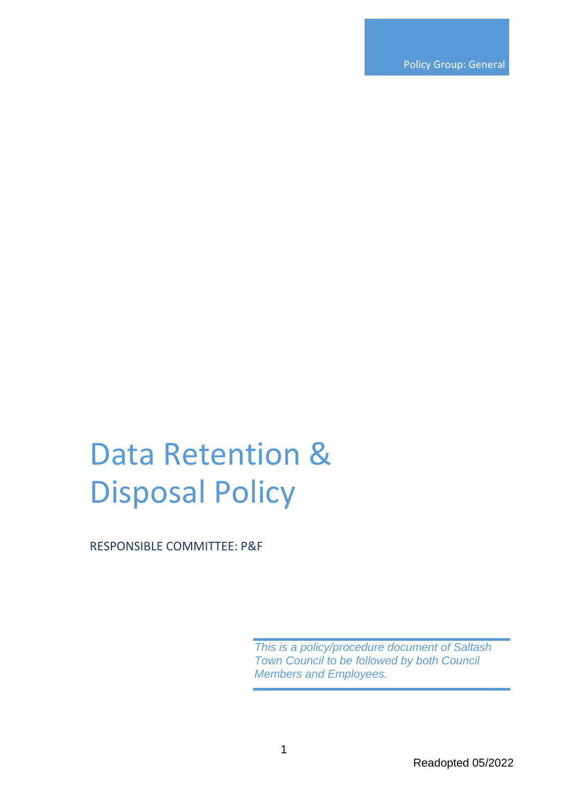Policy Group: General

# Data Retention & Disposal Policy

RESPONSIBLE COMMITTEE: P&F

*This is a policy/procedure document of Saltash Town Council to be followed by both Council Members and Employees.*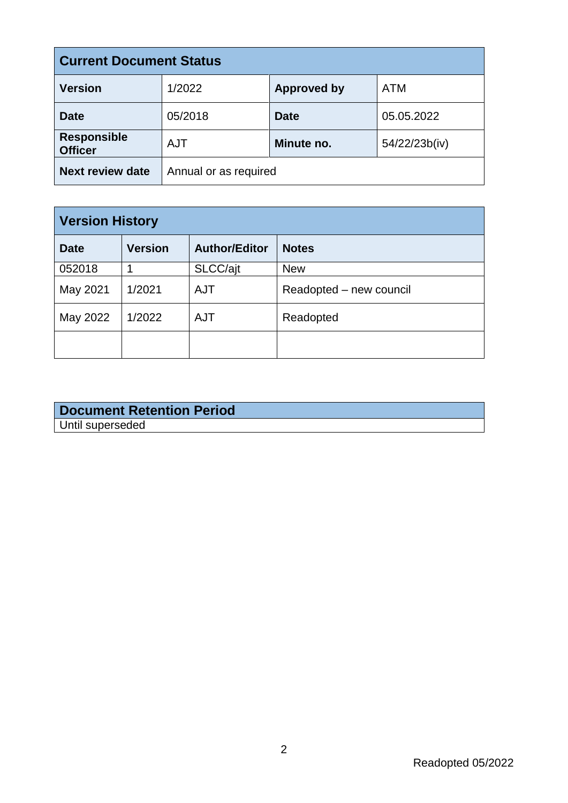| <b>Current Document Status</b>       |                       |                    |               |  |
|--------------------------------------|-----------------------|--------------------|---------------|--|
| <b>Version</b>                       | 1/2022                | <b>Approved by</b> | <b>ATM</b>    |  |
| <b>Date</b>                          | 05/2018               | <b>Date</b>        | 05.05.2022    |  |
| <b>Responsible</b><br><b>Officer</b> | <b>AJT</b>            | Minute no.         | 54/22/23b(iv) |  |
| <b>Next review date</b>              | Annual or as required |                    |               |  |

| <b>Version History</b> |                |                      |                         |  |
|------------------------|----------------|----------------------|-------------------------|--|
| <b>Date</b>            | <b>Version</b> | <b>Author/Editor</b> | <b>Notes</b>            |  |
| 052018                 |                | SLCC/ajt             | <b>New</b>              |  |
| May 2021               | 1/2021         | <b>AJT</b>           | Readopted – new council |  |
| May 2022               | 1/2022         | <b>AJT</b>           | Readopted               |  |
|                        |                |                      |                         |  |

## **Document Retention Period** Until superseded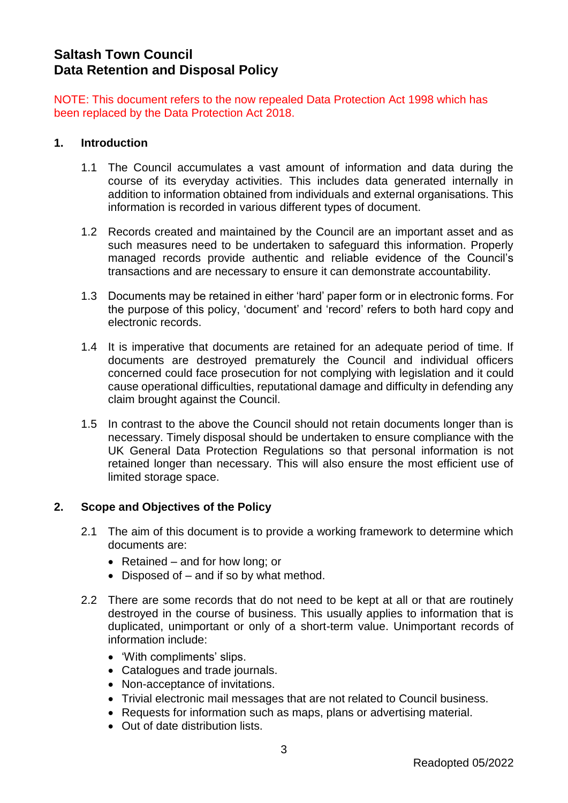# **Saltash Town Council Data Retention and Disposal Policy**

NOTE: This document refers to the now repealed Data Protection Act 1998 which has been replaced by the Data Protection Act 2018.

#### **1. Introduction**

- 1.1 The Council accumulates a vast amount of information and data during the course of its everyday activities. This includes data generated internally in addition to information obtained from individuals and external organisations. This information is recorded in various different types of document.
- 1.2 Records created and maintained by the Council are an important asset and as such measures need to be undertaken to safeguard this information. Properly managed records provide authentic and reliable evidence of the Council's transactions and are necessary to ensure it can demonstrate accountability.
- 1.3 Documents may be retained in either 'hard' paper form or in electronic forms. For the purpose of this policy, 'document' and 'record' refers to both hard copy and electronic records.
- 1.4 It is imperative that documents are retained for an adequate period of time. If documents are destroyed prematurely the Council and individual officers concerned could face prosecution for not complying with legislation and it could cause operational difficulties, reputational damage and difficulty in defending any claim brought against the Council.
- 1.5 In contrast to the above the Council should not retain documents longer than is necessary. Timely disposal should be undertaken to ensure compliance with the UK General Data Protection Regulations so that personal information is not retained longer than necessary. This will also ensure the most efficient use of limited storage space.

#### **2. Scope and Objectives of the Policy**

- 2.1 The aim of this document is to provide a working framework to determine which documents are:
	- Retained and for how long; or
	- Disposed of and if so by what method.
- 2.2 There are some records that do not need to be kept at all or that are routinely destroyed in the course of business. This usually applies to information that is duplicated, unimportant or only of a short-term value. Unimportant records of information include:
	- 'With compliments' slips.
	- Catalogues and trade journals.
	- Non-acceptance of invitations.
	- Trivial electronic mail messages that are not related to Council business.
	- Requests for information such as maps, plans or advertising material.
	- Out of date distribution lists.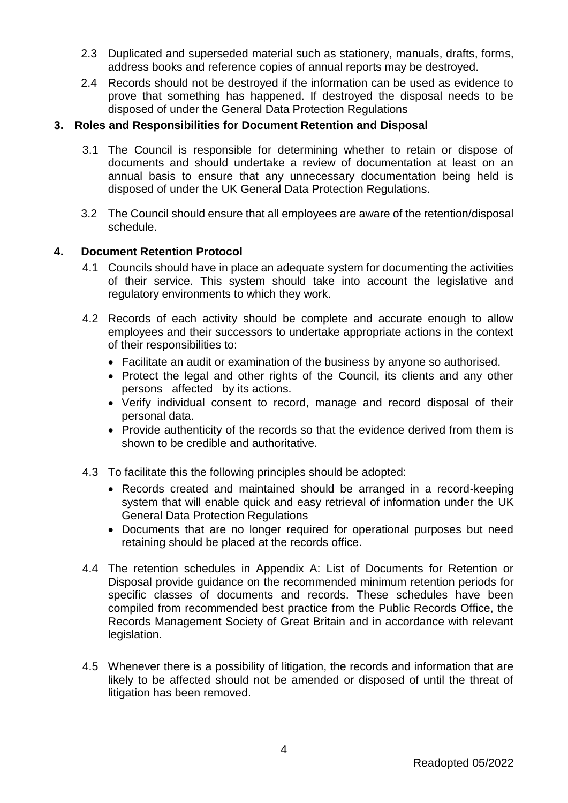- 2.3 Duplicated and superseded material such as stationery, manuals, drafts, forms, address books and reference copies of annual reports may be destroyed.
- 2.4 Records should not be destroyed if the information can be used as evidence to prove that something has happened. If destroyed the disposal needs to be disposed of under the General Data Protection Regulations

#### **3. Roles and Responsibilities for Document Retention and Disposal**

- 3.1 The Council is responsible for determining whether to retain or dispose of documents and should undertake a review of documentation at least on an annual basis to ensure that any unnecessary documentation being held is disposed of under the UK General Data Protection Regulations.
- 3.2 The Council should ensure that all employees are aware of the retention/disposal schedule.

#### **4. Document Retention Protocol**

- 4.1 Councils should have in place an adequate system for documenting the activities of their service. This system should take into account the legislative and regulatory environments to which they work.
- 4.2 Records of each activity should be complete and accurate enough to allow employees and their successors to undertake appropriate actions in the context of their responsibilities to:
	- Facilitate an audit or examination of the business by anyone so authorised.
	- Protect the legal and other rights of the Council, its clients and any other persons affected by its actions.
	- Verify individual consent to record, manage and record disposal of their personal data.
	- Provide authenticity of the records so that the evidence derived from them is shown to be credible and authoritative.
- 4.3 To facilitate this the following principles should be adopted:
	- Records created and maintained should be arranged in a record-keeping system that will enable quick and easy retrieval of information under the UK General Data Protection Regulations
	- Documents that are no longer required for operational purposes but need retaining should be placed at the records office.
- 4.4 The retention schedules in Appendix A: List of Documents for Retention or Disposal provide guidance on the recommended minimum retention periods for specific classes of documents and records. These schedules have been compiled from recommended best practice from the Public Records Office, the Records Management Society of Great Britain and in accordance with relevant legislation.
- 4.5 Whenever there is a possibility of litigation, the records and information that are likely to be affected should not be amended or disposed of until the threat of litigation has been removed.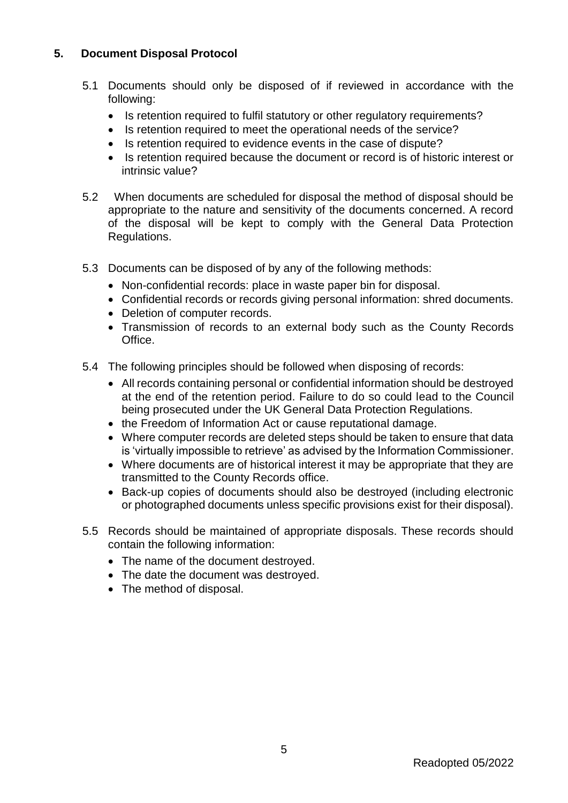### **5. Document Disposal Protocol**

- 5.1 Documents should only be disposed of if reviewed in accordance with the following:
	- Is retention required to fulfil statutory or other regulatory requirements?
	- Is retention required to meet the operational needs of the service?
	- Is retention required to evidence events in the case of dispute?
	- Is retention required because the document or record is of historic interest or intrinsic value?
- 5.2 When documents are scheduled for disposal the method of disposal should be appropriate to the nature and sensitivity of the documents concerned. A record of the disposal will be kept to comply with the General Data Protection Regulations.
- 5.3 Documents can be disposed of by any of the following methods:
	- Non-confidential records: place in waste paper bin for disposal.
	- Confidential records or records giving personal information: shred documents.
	- Deletion of computer records.
	- Transmission of records to an external body such as the County Records Office.
- 5.4 The following principles should be followed when disposing of records:
	- All records containing personal or confidential information should be destroyed at the end of the retention period. Failure to do so could lead to the Council being prosecuted under the UK General Data Protection Regulations.
	- the Freedom of Information Act or cause reputational damage.
	- Where computer records are deleted steps should be taken to ensure that data is 'virtually impossible to retrieve' as advised by the Information Commissioner.
	- Where documents are of historical interest it may be appropriate that they are transmitted to the County Records office.
	- Back-up copies of documents should also be destroyed (including electronic or photographed documents unless specific provisions exist for their disposal).
- 5.5 Records should be maintained of appropriate disposals. These records should contain the following information:
	- The name of the document destroved.
	- The date the document was destroyed.
	- The method of disposal.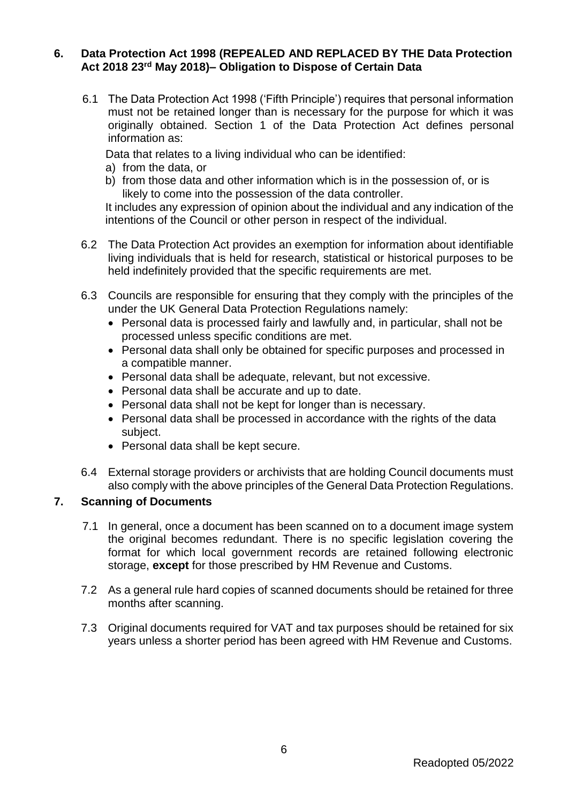#### **6. Data Protection Act 1998 (REPEALED AND REPLACED BY THE Data Protection Act 2018 23rd May 2018)– Obligation to Dispose of Certain Data**

6.1 The Data Protection Act 1998 ('Fifth Principle') requires that personal information must not be retained longer than is necessary for the purpose for which it was originally obtained. Section 1 of the Data Protection Act defines personal information as:

Data that relates to a living individual who can be identified:

- a) from the data, or
- b) from those data and other information which is in the possession of, or is likely to come into the possession of the data controller.

It includes any expression of opinion about the individual and any indication of the intentions of the Council or other person in respect of the individual.

- 6.2 The Data Protection Act provides an exemption for information about identifiable living individuals that is held for research, statistical or historical purposes to be held indefinitely provided that the specific requirements are met.
- 6.3 Councils are responsible for ensuring that they comply with the principles of the under the UK General Data Protection Regulations namely:
	- Personal data is processed fairly and lawfully and, in particular, shall not be processed unless specific conditions are met.
	- Personal data shall only be obtained for specific purposes and processed in a compatible manner.
	- Personal data shall be adequate, relevant, but not excessive.
	- Personal data shall be accurate and up to date.
	- Personal data shall not be kept for longer than is necessary.
	- Personal data shall be processed in accordance with the rights of the data subject.
	- Personal data shall be kept secure.
- 6.4 External storage providers or archivists that are holding Council documents must also comply with the above principles of the General Data Protection Regulations.

#### **7. Scanning of Documents**

- 7.1 In general, once a document has been scanned on to a document image system the original becomes redundant. There is no specific legislation covering the format for which local government records are retained following electronic storage, **except** for those prescribed by HM Revenue and Customs.
- 7.2 As a general rule hard copies of scanned documents should be retained for three months after scanning.
- 7.3 Original documents required for VAT and tax purposes should be retained for six years unless a shorter period has been agreed with HM Revenue and Customs.